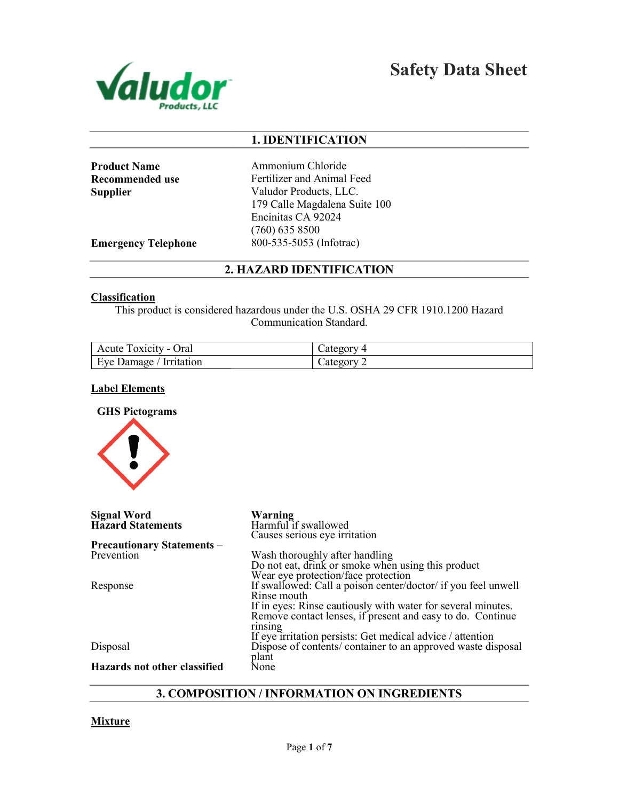

Safety Data Sheet

## 1. IDENTIFICATION

Product Name Recommended use Supplier

Ammonium Chloride Fertilizer and Animal Feed Valudor Products, LLC. 179 Calle Magdalena Suite 100 Encinitas CA 92024 (760) 635 8500 800-535-5053 (Infotrac)

Emergency Telephone

# 2. HAZARD IDENTIFICATION

#### **Classification**

| Acute Toxicity - Oral   | $\angle$ ategory 4            |
|-------------------------|-------------------------------|
| Eye Damage / Irritation | $\triangle$ ategory $\degree$ |

#### Label Elements



|                                                 | This product is considered hazardous under the U.S. OSHA 29 CFR 1910.1200 Hazard<br>Communication Standard.                                                                                                                                                                                                                |
|-------------------------------------------------|----------------------------------------------------------------------------------------------------------------------------------------------------------------------------------------------------------------------------------------------------------------------------------------------------------------------------|
| Acute Toxicity - Oral                           | Category 4                                                                                                                                                                                                                                                                                                                 |
| Eye Damage / Irritation                         | Category 2                                                                                                                                                                                                                                                                                                                 |
| <b>Label Elements</b>                           |                                                                                                                                                                                                                                                                                                                            |
| <b>GHS Pictograms</b>                           |                                                                                                                                                                                                                                                                                                                            |
| <b>Signal Word</b><br><b>Hazard Statements</b>  | Warning<br>Harmful if swallowed<br>Causes serious eye irritation                                                                                                                                                                                                                                                           |
| <b>Precautionary Statements -</b><br>Prevention | Wash thoroughly after handling<br>Do not eat, drink or smoke when using this product                                                                                                                                                                                                                                       |
| Response                                        | Wear eye protection/face protection<br>If swallowed: Call a poison center/doctor/ if you feel unwell<br>Rinse mouth<br>If in eyes: Rinse cautiously with water for several minutes.<br>Remove contact lenses, if present and easy to do. Continue<br>rinsing<br>If eye irritation persists: Get medical advice / attention |
| Disposal                                        | Dispose of contents/ container to an approved waste disposal<br>plant                                                                                                                                                                                                                                                      |
| <b>Hazards not other classified</b>             | None                                                                                                                                                                                                                                                                                                                       |
|                                                 | <b>3. COMPOSITION / INFORMATION ON INGREDIENTS</b>                                                                                                                                                                                                                                                                         |

## 3. COMPOSITION / INFORMATION ON INGREDIENTS

#### **Mixture**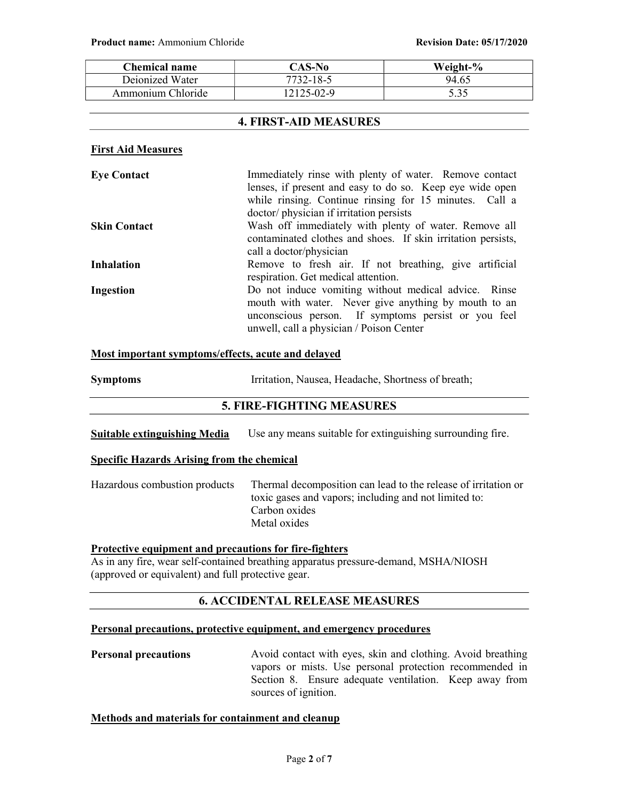| Chemical name     | CAS-No     | Weight-% |
|-------------------|------------|----------|
| Deionized Water   | 7732-18-5  | 94.65    |
| Ammonium Chloride | 12125-02-9 | 5.35     |

## 4. FIRST-AID MEASURES

#### First Aid Measures

| <b>Eye Contact</b>  | Immediately rinse with plenty of water. Remove contact       |
|---------------------|--------------------------------------------------------------|
|                     | lenses, if present and easy to do so. Keep eye wide open     |
|                     | while rinsing. Continue rinsing for 15 minutes. Call a       |
|                     | doctor/ physician if irritation persists                     |
| <b>Skin Contact</b> | Wash off immediately with plenty of water. Remove all        |
|                     | contaminated clothes and shoes. If skin irritation persists, |
|                     | call a doctor/physician                                      |
| <b>Inhalation</b>   | Remove to fresh air. If not breathing, give artificial       |
|                     | respiration. Get medical attention.                          |
| Ingestion           | Do not induce vomiting without medical advice. Rinse         |
|                     | mouth with water. Never give anything by mouth to an         |
|                     | unconscious person. If symptoms persist or you feel          |
|                     | unwell, call a physician / Poison Center                     |

#### Most important symptoms/effects, acute and delayed

| <b>Symptoms</b> | Irritation, Nausea, Headache, Shortness of breath; |
|-----------------|----------------------------------------------------|
|-----------------|----------------------------------------------------|

## 5. FIRE-FIGHTING MEASURES

| Suitable extinguishing Media | Use any means suitable for extinguishing surrounding fire. |  |  |
|------------------------------|------------------------------------------------------------|--|--|
|------------------------------|------------------------------------------------------------|--|--|

#### Specific Hazards Arising from the chemical

Hazardous combustion products Thermal decomposition can lead to the release of irritation or toxic gases and vapors; including and not limited to: Carbon oxides Metal oxides

#### Protective equipment and precautions for fire-fighters

As in any fire, wear self-contained breathing apparatus pressure-demand, MSHA/NIOSH (approved or equivalent) and full protective gear.

## 6. ACCIDENTAL RELEASE MEASURES

## Personal precautions, protective equipment, and emergency procedures

**Personal precautions** Avoid contact with eyes, skin and clothing. Avoid breathing vapors or mists. Use personal protection recommended in Section 8. Ensure adequate ventilation. Keep away from sources of ignition.

#### Methods and materials for containment and cleanup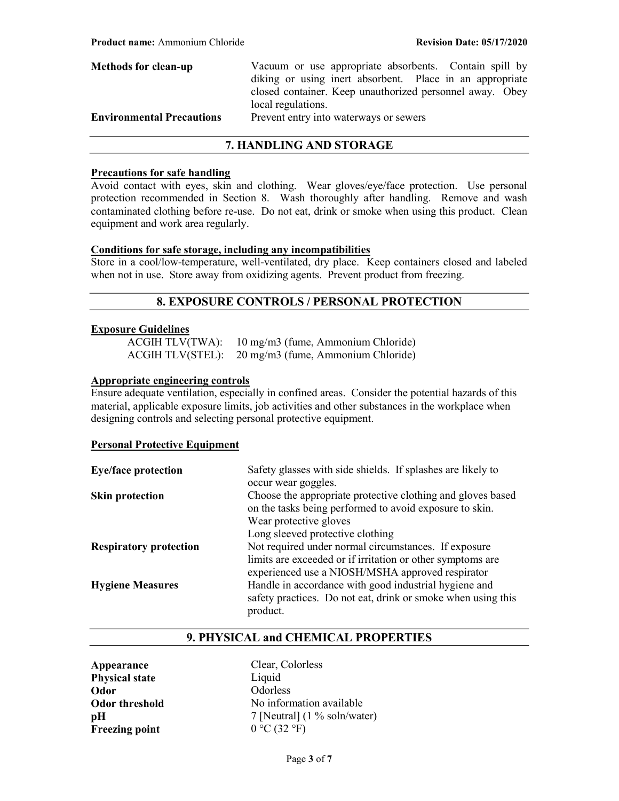| <b>Methods for clean-up</b>      | Vacuum or use appropriate absorbents. Contain spill by   |
|----------------------------------|----------------------------------------------------------|
|                                  | diking or using inert absorbent. Place in an appropriate |
|                                  | closed container. Keep unauthorized personnel away. Obey |
|                                  | local regulations.                                       |
| <b>Environmental Precautions</b> | Prevent entry into waterways or sewers                   |
|                                  |                                                          |

## 7. HANDLING AND STORAGE

#### Precautions for safe handling

Avoid contact with eyes, skin and clothing. Wear gloves/eye/face protection. Use personal protection recommended in Section 8. Wash thoroughly after handling. Remove and wash contaminated clothing before re-use. Do not eat, drink or smoke when using this product. Clean equipment and work area regularly.

#### Conditions for safe storage, including any incompatibilities

Store in a cool/low-temperature, well-ventilated, dry place. Keep containers closed and labeled when not in use. Store away from oxidizing agents. Prevent product from freezing.

# 8. EXPOSURE CONTROLS / PERSONAL PROTECTION

#### Exposure Guidelines

 ACGIH TLV(TWA): 10 mg/m3 (fume, Ammonium Chloride) ACGIH TLV(STEL): 20 mg/m3 (fume, Ammonium Chloride)

#### Appropriate engineering controls

Ensure adequate ventilation, especially in confined areas. Consider the potential hazards of this material, applicable exposure limits, job activities and other substances in the workplace when designing controls and selecting personal protective equipment.

#### Personal Protective Equipment

| <b>Eye/face protection</b>    | Safety glasses with side shields. If splashes are likely to<br>occur wear goggles.                                     |
|-------------------------------|------------------------------------------------------------------------------------------------------------------------|
| <b>Skin protection</b>        | Choose the appropriate protective clothing and gloves based<br>on the tasks being performed to avoid exposure to skin. |
|                               | Wear protective gloves                                                                                                 |
|                               | Long sleeved protective clothing                                                                                       |
| <b>Respiratory protection</b> | Not required under normal circumstances. If exposure                                                                   |
|                               | limits are exceeded or if irritation or other symptoms are<br>experienced use a NIOSH/MSHA approved respirator         |
| <b>Hygiene Measures</b>       | Handle in accordance with good industrial hygiene and                                                                  |
|                               | safety practices. Do not eat, drink or smoke when using this<br>product.                                               |

## 9. PHYSICAL and CHEMICAL PROPERTIES

Appearance Clear, Colorless Physical state Liquid Odor Odorless Freezing point  $0 °C (32 °F)$ 

Odor threshold No information available  $pH$  7 [Neutral] (1 % soln/water)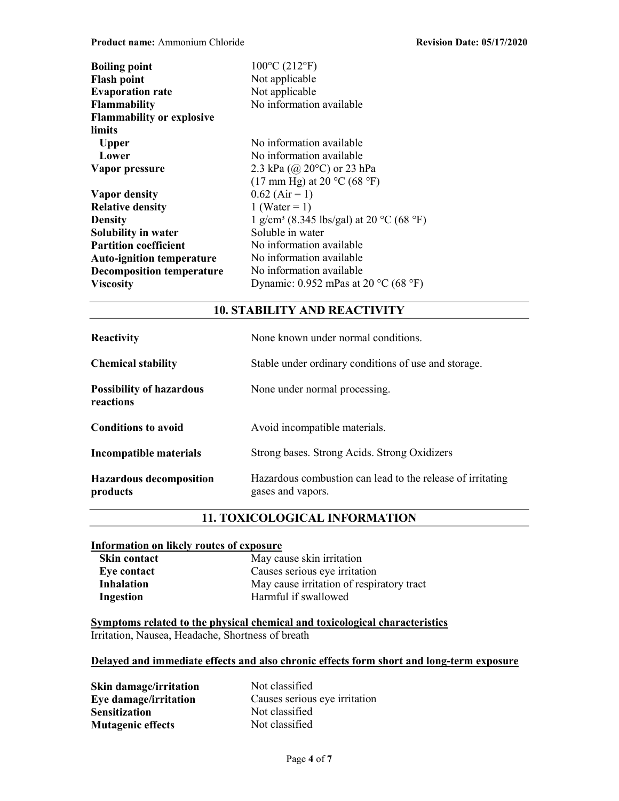| $100^{\circ}$ C (212 $^{\circ}$ F)                       |
|----------------------------------------------------------|
| Not applicable                                           |
| Not applicable                                           |
| No information available                                 |
|                                                          |
|                                                          |
| No information available                                 |
| No information available                                 |
| 2.3 kPa $(Q20^{\circ}C)$ or 23 hPa                       |
| $(17 \text{ mm Hg})$ at 20 °C (68 °F)                    |
| $0.62$ (Air = 1)                                         |
| 1 (Water = 1)                                            |
| 1 g/cm <sup>3</sup> (8.345 lbs/gal) at 20 °C (68 °F)     |
| Soluble in water                                         |
| No information available                                 |
| No information available                                 |
| No information available                                 |
| Dynamic: 0.952 mPas at 20 $^{\circ}$ C (68 $^{\circ}$ F) |
|                                                          |

## 10. STABILITY AND REACTIVITY

| <b>Reactivity</b>                            | None known under normal conditions.                                             |
|----------------------------------------------|---------------------------------------------------------------------------------|
| <b>Chemical stability</b>                    | Stable under ordinary conditions of use and storage.                            |
| <b>Possibility of hazardous</b><br>reactions | None under normal processing.                                                   |
| <b>Conditions to avoid</b>                   | Avoid incompatible materials.                                                   |
| Incompatible materials                       | Strong bases. Strong Acids. Strong Oxidizers                                    |
| <b>Hazardous decomposition</b><br>products   | Hazardous combustion can lead to the release of irritating<br>gases and vapors. |

# 11. TOXICOLOGICAL INFORMATION

## Information on likely routes of exposure

| <b>Skin contact</b> | May cause skin irritation                 |
|---------------------|-------------------------------------------|
| Eye contact         | Causes serious eye irritation             |
| <b>Inhalation</b>   | May cause irritation of respiratory tract |
| Ingestion           | Harmful if swallowed                      |

Symptoms related to the physical chemical and toxicological characteristics Irritation, Nausea, Headache, Shortness of breath

## Delayed and immediate effects and also chronic effects form short and long-term exposure

Skin damage/irritation Not classified<br>
Eye damage/irritation Causes serious Sensitization Not classified Mutagenic effects Not classified

Causes serious eye irritation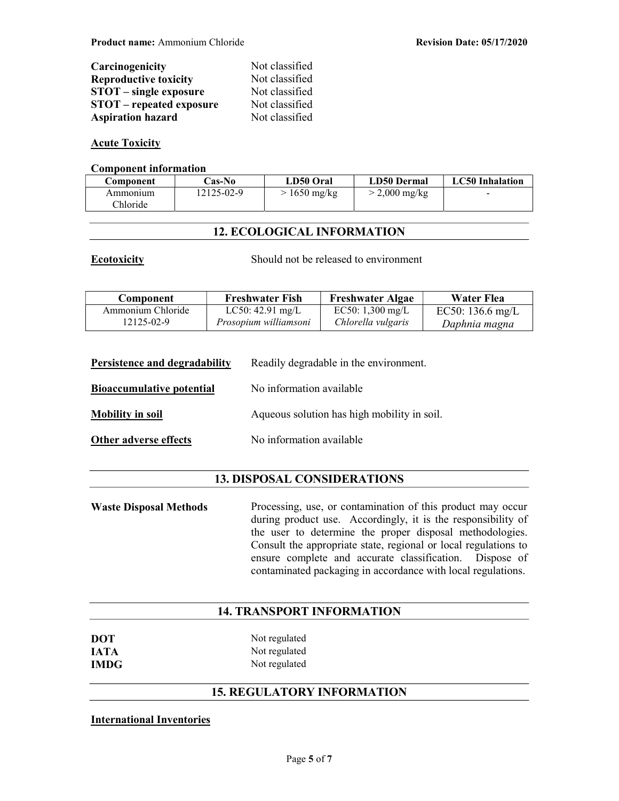| Carcinogenicity                 | Not classified |
|---------------------------------|----------------|
| <b>Reproductive toxicity</b>    | Not classified |
| <b>STOT</b> – single exposure   | Not classified |
| <b>STOT</b> – repeated exposure | Not classified |
| <b>Aspiration hazard</b>        | Not classified |

## Acute Toxicity

#### Component information

| Component | <b>Cas-No</b> | LD50 Oral            | LD50 Dermal     | <b>LC50</b> Inhalation   |
|-----------|---------------|----------------------|-----------------|--------------------------|
| Ammonium  | 12125-02-9    | $\approx 1650$ mg/kg | $>$ 2,000 mg/kg | $\overline{\phantom{0}}$ |
| Chloride  |               |                      |                 |                          |

## 12. ECOLOGICAL INFORMATION

Ecotoxicity Should not be released to environment

| Component         | <b>Freshwater Fish</b> | <b>Freshwater Algae</b>    | Water Flea       |
|-------------------|------------------------|----------------------------|------------------|
| Ammonium Chloride | $LC50: 42.91$ mg/L     | EC50: $1,300 \text{ mg/L}$ | EC50: 136.6 mg/L |
| 12125-02-9        | Prosopium williamsoni  | Chlorella vulgaris         | Daphnia magna    |

| Persistence and degradability    | Readily degradable in the environment. |
|----------------------------------|----------------------------------------|
| <b>Bioaccumulative potential</b> | No information available               |

**Mobility in soil** Aqueous solution has high mobility in soil.

Other adverse effects No information available

## 13. DISPOSAL CONSIDERATIONS

Waste Disposal Methods Processing, use, or contamination of this product may occur during product use. Accordingly, it is the responsibility of the user to determine the proper disposal methodologies. Consult the appropriate state, regional or local regulations to ensure complete and accurate classification. Dispose of contaminated packaging in accordance with local regulations.

## 14. TRANSPORT INFORMATION

| <b>DOT</b>  | Not regulated |
|-------------|---------------|
| <b>JATA</b> | Not regulated |
| <b>IMDG</b> | Not regulated |

# 15. REGULATORY INFORMATION

#### International Inventories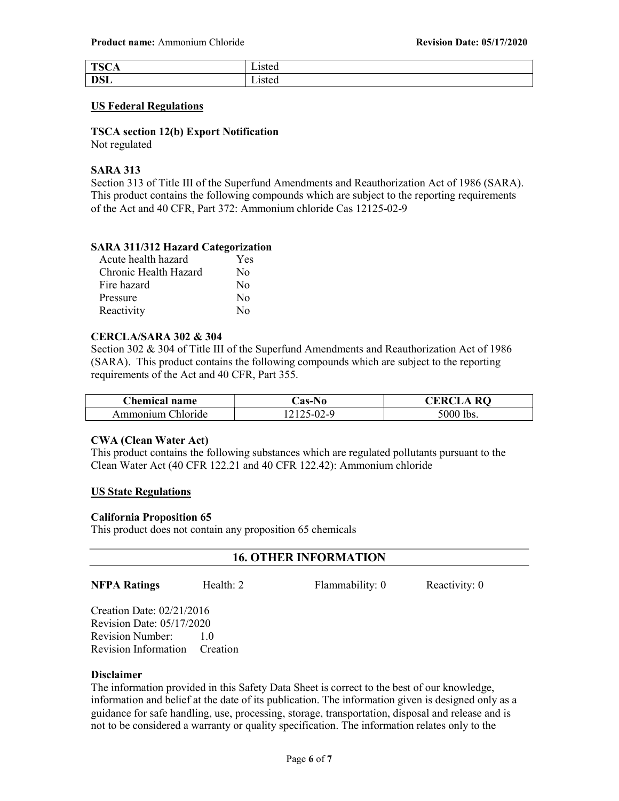| <b>TOO</b><br>$\pm 50^\circ$<br>'N<br>-<br>◡▴ | ------<br>nuu |
|-----------------------------------------------|---------------|
| <b>DSL</b>                                    | ∟ww<br>-----  |

#### US Federal Regulations

# TSCA section 12(b) Export Notification

Not regulated

## SARA 313

Section 313 of Title III of the Superfund Amendments and Reauthorization Act of 1986 (SARA). This product contains the following compounds which are subject to the reporting requirements of the Act and 40 CFR, Part 372: Ammonium chloride Cas 12125-02-9

## SARA 311/312 Hazard Categorization

| Acute health hazard   | Yes              |
|-----------------------|------------------|
| Chronic Health Hazard | No               |
| Fire hazard           | $\rm No$         |
| Pressure              | No               |
| Reactivity            | $\rm N_{\Omega}$ |

## CERCLA/SARA 302 & 304

Section 302 & 304 of Title III of the Superfund Amendments and Reauthorization Act of 1986 (SARA). This product contains the following compounds which are subject to the reporting requirements of the Act and 40 CFR, Part 355.

| <b>Chemical name</b>   | .`as-No | $_{\rm\bf R}$<br>'KK |
|------------------------|---------|----------------------|
| Ammonuum (<br>hloride: |         | 5000 lbs.            |

## CWA (Clean Water Act)

This product contains the following substances which are regulated pollutants pursuant to the Clean Water Act (40 CFR 122.21 and 40 CFR 122.42): Ammonium chloride

## US State Regulations

## California Proposition 65

This product does not contain any proposition 65 chemicals

## 16. OTHER INFORMATION

## NFPA Ratings Health: 2 Flammability: 0 Reactivity: 0

Creation Date: 02/21/2016 Revision Date: 05/17/2020 Revision Number: 1.0 Revision Information Creation

## Disclaimer

The information provided in this Safety Data Sheet is correct to the best of our knowledge, information and belief at the date of its publication. The information given is designed only as a guidance for safe handling, use, processing, storage, transportation, disposal and release and is not to be considered a warranty or quality specification. The information relates only to the